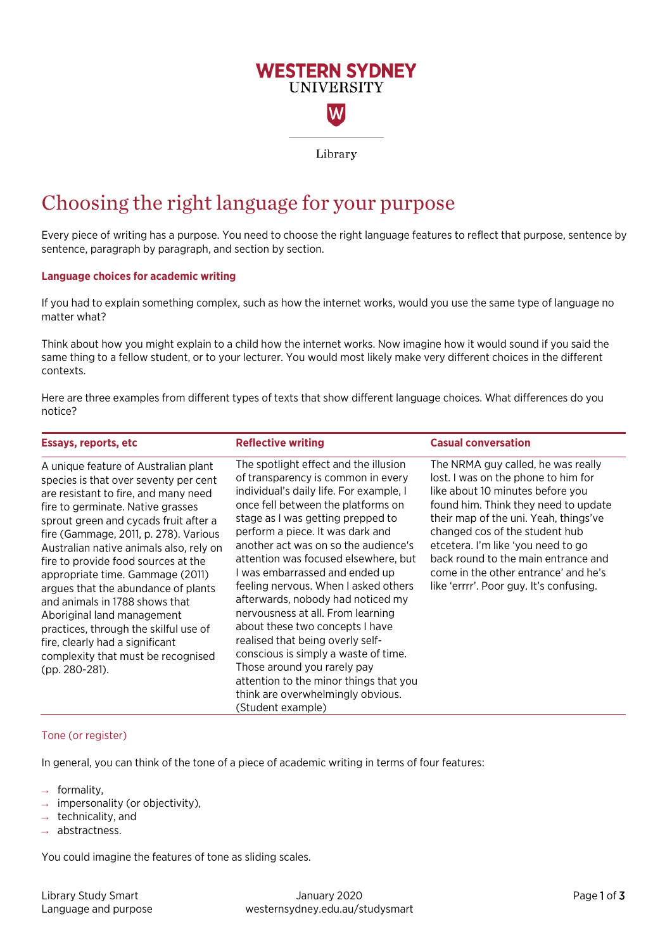# **WESTERN SYDNEY UNIVERSITY** W

Library

## Choosing the right language for your purpose

Every piece of writing has a purpose. You need to choose the right language features to reflect that purpose, sentence by sentence, paragraph by paragraph, and section by section.

## **Language choices for academic writing**

If you had to explain something complex, such as how the internet works, would you use the same type of language no matter what?

Think about how you might explain to a child how the internet works. Now imagine how it would sound if you said the same thing to a fellow student, or to your lecturer. You would most likely make very different choices in the different contexts.

Here are three examples from different types of texts that show different language choices. What differences do you notice?

| <b>Essays, reports, etc</b>                                                                                                                                                                                                                                                                                                                                                                                                                                                                                                                                                                                   | <b>Reflective writing</b>                                                                                                                                                                                                                                                                                                                                                                                                                                                                                                                                                                                                                                                                                                   | <b>Casual conversation</b>                                                                                                                                                                                                                                                                                                                                                                       |
|---------------------------------------------------------------------------------------------------------------------------------------------------------------------------------------------------------------------------------------------------------------------------------------------------------------------------------------------------------------------------------------------------------------------------------------------------------------------------------------------------------------------------------------------------------------------------------------------------------------|-----------------------------------------------------------------------------------------------------------------------------------------------------------------------------------------------------------------------------------------------------------------------------------------------------------------------------------------------------------------------------------------------------------------------------------------------------------------------------------------------------------------------------------------------------------------------------------------------------------------------------------------------------------------------------------------------------------------------------|--------------------------------------------------------------------------------------------------------------------------------------------------------------------------------------------------------------------------------------------------------------------------------------------------------------------------------------------------------------------------------------------------|
| A unique feature of Australian plant<br>species is that over seventy per cent<br>are resistant to fire, and many need<br>fire to germinate. Native grasses<br>sprout green and cycads fruit after a<br>fire (Gammage, 2011, p. 278). Various<br>Australian native animals also, rely on<br>fire to provide food sources at the<br>appropriate time. Gammage (2011)<br>argues that the abundance of plants<br>and animals in 1788 shows that<br>Aboriginal land management<br>practices, through the skilful use of<br>fire, clearly had a significant<br>complexity that must be recognised<br>(pp. 280-281). | The spotlight effect and the illusion<br>of transparency is common in every<br>individual's daily life. For example, I<br>once fell between the platforms on<br>stage as I was getting prepped to<br>perform a piece. It was dark and<br>another act was on so the audience's<br>attention was focused elsewhere, but<br>I was embarrassed and ended up<br>feeling nervous. When I asked others<br>afterwards, nobody had noticed my<br>nervousness at all. From learning<br>about these two concepts I have<br>realised that being overly self-<br>conscious is simply a waste of time.<br>Those around you rarely pay<br>attention to the minor things that you<br>think are overwhelmingly obvious.<br>(Student example) | The NRMA guy called, he was really<br>lost. I was on the phone to him for<br>like about 10 minutes before you<br>found him. Think they need to update<br>their map of the uni. Yeah, things've<br>changed cos of the student hub<br>etcetera. I'm like 'you need to go<br>back round to the main entrance and<br>come in the other entrance' and he's<br>like 'errrr'. Poor guy. It's confusing. |

## Tone (or register)

In general, you can think of the tone of a piece of academic writing in terms of four features:

- formality,
- impersonality (or objectivity),
- technicality, and
- abstractness.

You could imagine the features of tone as sliding scales.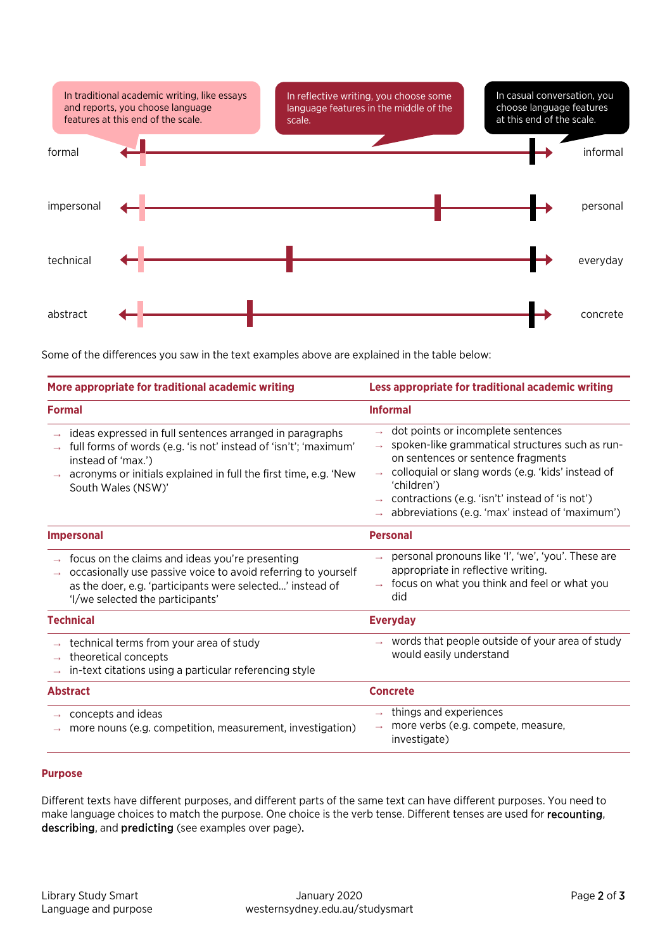

Some of the differences you saw in the text examples above are explained in the table below:

| More appropriate for traditional academic writing                                                                                                                                                                                            | Less appropriate for traditional academic writing                                                                                                                                                                                                                                                                                    |
|----------------------------------------------------------------------------------------------------------------------------------------------------------------------------------------------------------------------------------------------|--------------------------------------------------------------------------------------------------------------------------------------------------------------------------------------------------------------------------------------------------------------------------------------------------------------------------------------|
| <b>Formal</b>                                                                                                                                                                                                                                | <b>Informal</b>                                                                                                                                                                                                                                                                                                                      |
| ideas expressed in full sentences arranged in paragraphs<br>full forms of words (e.g. 'is not' instead of 'isn't'; 'maximum'<br>instead of 'max.')<br>acronyms or initials explained in full the first time, e.g. 'New<br>South Wales (NSW)' | dot points or incomplete sentences<br>spoken-like grammatical structures such as run-<br>$\rightarrow$<br>on sentences or sentence fragments<br>colloquial or slang words (e.g. 'kids' instead of<br>'children')<br>contractions (e.g. 'isn't' instead of 'is not')<br>$\rightarrow$ abbreviations (e.g. 'max' instead of 'maximum') |
| <b>Impersonal</b>                                                                                                                                                                                                                            | <b>Personal</b>                                                                                                                                                                                                                                                                                                                      |
| focus on the claims and ideas you're presenting<br>occasionally use passive voice to avoid referring to yourself<br>as the doer, e.g. 'participants were selected' instead of<br>'I/we selected the participants'                            | personal pronouns like 'I', 'we', 'you'. These are<br>appropriate in reflective writing.<br>focus on what you think and feel or what you<br>did                                                                                                                                                                                      |
| <b>Technical</b>                                                                                                                                                                                                                             | <b>Everyday</b>                                                                                                                                                                                                                                                                                                                      |
| technical terms from your area of study<br>theoretical concepts<br>in-text citations using a particular referencing style                                                                                                                    | $\rightarrow$ words that people outside of your area of study<br>would easily understand                                                                                                                                                                                                                                             |
| <b>Abstract</b>                                                                                                                                                                                                                              | <b>Concrete</b>                                                                                                                                                                                                                                                                                                                      |
| concepts and ideas<br>more nouns (e.g. competition, measurement, investigation)                                                                                                                                                              | things and experiences<br>$\rightarrow$<br>more verbs (e.g. compete, measure,<br>investigate)                                                                                                                                                                                                                                        |

## **Purpose**

Different texts have different purposes, and different parts of the same text can have different purposes. You need to make language choices to match the purpose. One choice is the verb tense. Different tenses are used for recounting, describing, and predicting (see examples over page).